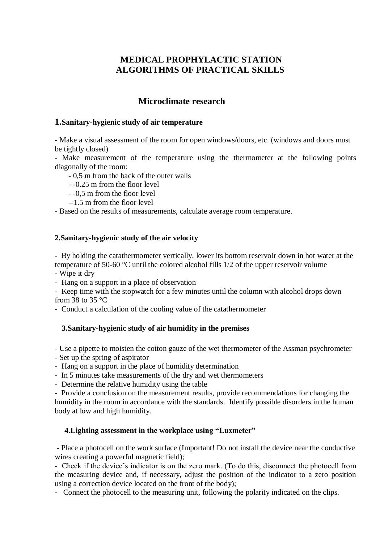# **MEDICAL PROPHYLACTIC STATION ALGORITHMS OF PRACTICAL SKILLS**

# **Microclimate research**

#### **1.Sanitary-hygienic study of air temperature**

- Make a visual assessment of the room for open windows/doors, etc. (windows and doors must be tightly closed)

- Make measurement of the temperature using the thermometer at the following points diagonally of the room:

- 0,5 m from the back of the outer walls
- -0.25 m from the floor level
- -0,5 m from the floor level
- --1.5 m from the floor level

- Based on the results of measurements, calculate average room temperature.

### **2.Sanitary-hygienic study of the air velocity**

- By holding the catathermometer vertically, lower its bottom reservoir down in hot water at the temperature of 50-60 °C until the colored alcohol fills 1/2 of the upper reservoir volume

- Wipe it dry

- Hang on a support in a place of observation

- Keep time with the stopwatch for a few minutes until the column with alcohol drops down from 38 to 35 $\degree$ C

- Conduct a calculation of the cooling value of the catathermometer

### **3.Sanitary-hygienic study of air humidity in the premises**

- Use a pipette to moisten the cotton gauze of the wet thermometer of the Assman psychrometer

- Set up the spring of aspirator
- Hang on a support in the place of humidity determination
- In 5 minutes take measurements of the dry and wet thermometers
- Determine the relative humidity using the table

- Provide a conclusion on the measurement results, provide recommendations for changing the humidity in the room in accordance with the standards. Identify possible disorders in the human body at low and high humidity.

### **4.Lighting assessment in the workplace using "Luxmeter"**

- Place a photocell on the work surface (Important! Do not install the device near the conductive wires creating a powerful magnetic field);

- Check if the device's indicator is on the zero mark. (To do this, disconnect the photocell from the measuring device and, if necessary, adjust the position of the indicator to a zero position using a correction device located on the front of the body);

- Connect the photocell to the measuring unit, following the polarity indicated on the clips.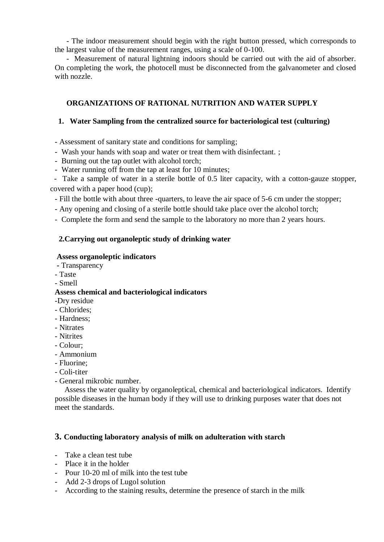- The indoor measurement should begin with the right button pressed, which corresponds to the largest value of the measurement ranges, using a scale of 0-100.

- Measurement of natural lightning indoors should be carried out with the aid of absorber. On completing the work, the photocell must be disconnected from the galvanometer and closed with nozzle.

# **ORGANIZATIONS OF RATIONAL NUTRITION AND WATER SUPPLY**

### **1. Water Sampling from the centralized source for bacteriological test (culturing)**

- Assessment of sanitary state and conditions for sampling;

- Wash your hands with soap and water or treat them with disinfectant. ;
- Burning out the tap outlet with alcohol torch;
- Water running off from the tap at least for 10 minutes;

 - Take a sample of water in a sterile bottle of 0.5 liter capacity, with a cotton-gauze stopper, covered with a paper hood (cup);

- Fill the bottle with about three -quarters, to leave the air space of 5-6 cm under the stopper;
- Any opening and closing of a sterile bottle should take place over the alcohol torch;
- Complete the form and send the sample to the laboratory no more than 2 years hours.

## **2.Carrying out organoleptic study of drinking water**

### **Assess organoleptic indicators**

- **-** Transparency
- Taste
- Smell

### **Assess chemical and bacteriological indicators**

- -Dry residue
- Chlorides;
- Hardness;
- Nitrates
- Nitrites
- Colour;
- Ammonium
- Fluorine;
- Coli-titer
- General mikrobic number.

Assess the water quality by organoleptical, chemical and bacteriological indicators. Identify possible diseases in the human body if they will use to drinking purposes water that does not meet the standards.

### **3. Conducting laboratory analysis of milk on adulteration with starch**

- Take a clean test tube
- Place it in the holder
- Pour 10-20 ml of milk into the test tube
- Add 2-3 drops of Lugol solution
- According to the staining results, determine the presence of starch in the milk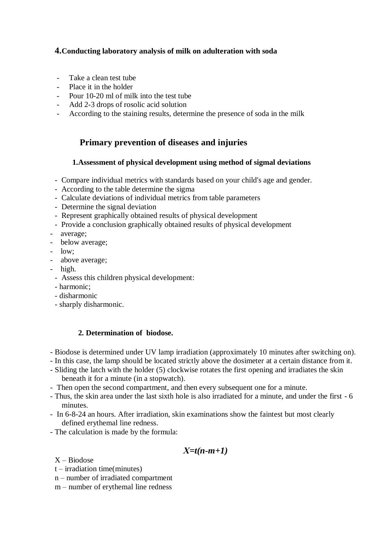# **4.Conducting laboratory analysis of milk on adulteration with soda**

- Take a clean test tube
- Place it in the holder
- Pour 10-20 ml of milk into the test tube
- Add 2-3 drops of rosolic acid solution
- According to the staining results, determine the presence of soda in the milk

# **Primary prevention of diseases and injuries**

#### **1.Assessment of physical development using method of sigmal deviations**

- Compare individual metrics with standards based on your child's age and gender.
- According to the table determine the sigma
- Calculate deviations of individual metrics from table parameters
- Determine the signal deviation
- Represent graphically obtained results of physical development
- Provide a conclusion graphically obtained results of physical development
- average;
- below average;
- low;
- above average;
- high.
	- Assess this children physical development:
	- harmonic;
	- disharmonic
	- sharply disharmonic.

### **2. Determination of biodose.**

- Biodose is determined under UV lamp irradiation (approximately 10 minutes after switching on).
- In this case, the lamp should be located strictly above the dosimeter at a certain distance from it.
- Sliding the latch with the holder (5) clockwise rotates the first opening and irradiates the skin beneath it for a minute (in a stopwatch).
- Then open the second compartment, and then every subsequent one for a minute.
- Thus, the skin area under the last sixth hole is also irradiated for a minute, and under the first 6 minutes.
- In 6-8-24 an hours. After irradiation, skin examinations show the faintest but most clearly defined erythemal line redness.
- The calculation is made by the formula:

# *Х=t(n-m+1)*

X – Biodose

- t irradiation time(minutes)
- n number of irradiated compartment
- m number of erythemal line redness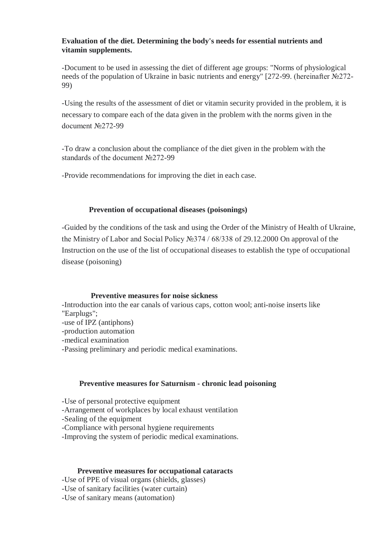### **Evaluation of the diet. Determining the body's needs for essential nutrients and vitamin supplements.**

-Document to be used in assessing the diet of different age groups: "Norms of physiological needs of the population of Ukraine in basic nutrients and energy" [272-99. (hereinafter №272- 99)

-Using the results of the assessment of diet or vitamin security provided in the problem, it is necessary to compare each of the data given in the problem with the norms given in the document №272-99

-Тo draw a conclusion about the compliance of the diet given in the problem with the standards of the document No272-99

-Provide recommendations for improving the diet in each case.

### **Prevention of occupational diseases (poisonings)**

-Guided by the conditions of the task and using the Order of the Ministry of Health of Ukraine, the Ministry of Labor and Social Policy №374 / 68/338 of 29.12.2000 On approval of the Instruction on the use of the list of occupational diseases to establish the type of occupational disease (poisoning)

### **Preventive measures for noise sickness**

-Introduction into the ear canals of various caps, cotton wool; anti-noise inserts like "Earplugs";

-use of IPZ (antiphons)

-production automation

-medical examination

-Passing preliminary and periodic medical examinations.

### **Preventive measures for Saturnism - chronic lead poisoning**

-Use of personal protective equipment

-Arrangement of workplaces by local exhaust ventilation

-Sealing of the equipment

-Compliance with personal hygiene requirements

-Improving the system of periodic medical examinations.

### **Preventive measures for occupational cataracts**

-Use of PPE of visual organs (shields, glasses)

-Use of sanitary facilities (water curtain)

-Use of sanitary means (automation)